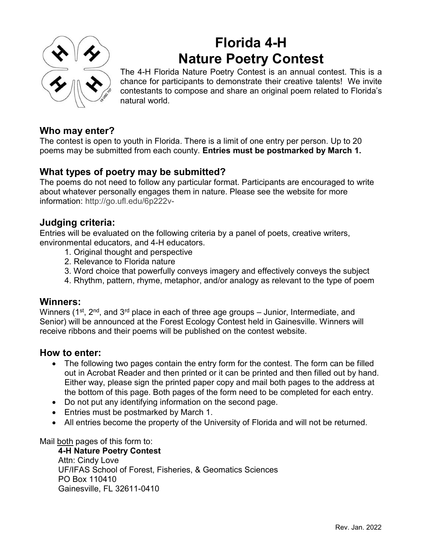

# Florida 4-H Nature Poetry Contest

The 4-H Florida Nature Poetry Contest is an annual contest. This is a chance for participants to demonstrate their creative talents! We invite contestants to compose and share an original poem related to Florida's natural world.

## Who may enter?

The contest is open to youth in Florida. There is a limit of one entry per person. Up to 20 poems may be submitted from each county. Entries must be postmarked by March 1.

### What types of poetry may be submitted?

The poems do not need to follow any particular format. Participants are encouraged to write about whatever personally engages them in nature. Please see the website for more information: <http://go.ufl.edu/6p222v->

### Judging criteria:

Entries will be evaluated on the following criteria by a panel of poets, creative writers, environmental educators, and 4-H educators.

- 1. Original thought and perspective
- 2. Relevance to Florida nature
- 3. Word choice that powerfully conveys imagery and effectively conveys the subject
- 4. Rhythm, pattern, rhyme, metaphor, and/or analogy as relevant to the type of poem

#### Winners:

Winners ( $1^{st}$ ,  $2^{nd}$ , and  $3^{rd}$  place in each of three age groups – Junior, Intermediate, and Senior) will be announced at the Forest Ecology Contest held in Gainesville. Winners will receive ribbons and their poems will be published on the contest website.

#### How to enter:

- The following two pages contain the entry form for the contest. The form can be filled out in Acrobat Reader and then printed or it can be printed and then filled out by hand. Either way, please sign the printed paper copy and mail both pages to the address at the bottom of this page. Both pages of the form need to be completed for each entry.
- Do not put any identifying information on the second page.
- Entries must be postmarked by March 1.
- All entries become the property of the University of Florida and will not be returned.

Mail both pages of this form to:

4-H Nature Poetry Contest Attn: Cindy Love UF/IFAS School of Forest, Fisheries, & Geomatics Sciences PO Box 110410 Gainesville, FL 32611-0410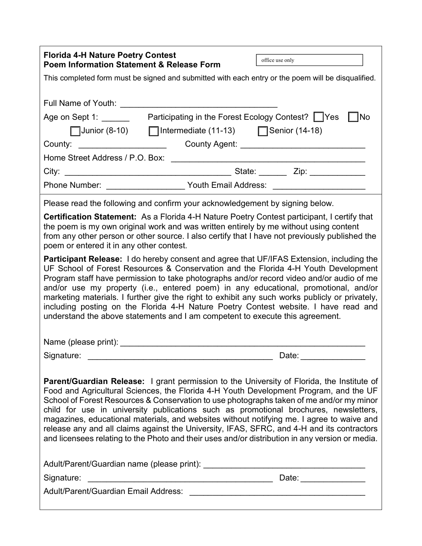| <b>Florida 4-H Nature Poetry Contest</b><br><b>Poem Information Statement &amp; Release Form</b>                                                                                                                                                                                                                                                                                                                                                                                                                                                                                                                                                                             | office use only                                                                                                                                                                                                                |
|------------------------------------------------------------------------------------------------------------------------------------------------------------------------------------------------------------------------------------------------------------------------------------------------------------------------------------------------------------------------------------------------------------------------------------------------------------------------------------------------------------------------------------------------------------------------------------------------------------------------------------------------------------------------------|--------------------------------------------------------------------------------------------------------------------------------------------------------------------------------------------------------------------------------|
| This completed form must be signed and submitted with each entry or the poem will be disqualified.                                                                                                                                                                                                                                                                                                                                                                                                                                                                                                                                                                           |                                                                                                                                                                                                                                |
| Full Name of Youth:                                                                                                                                                                                                                                                                                                                                                                                                                                                                                                                                                                                                                                                          |                                                                                                                                                                                                                                |
| Participating in the Forest Ecology Contest? TYes<br>∏No<br>Age on Sept 1: _______                                                                                                                                                                                                                                                                                                                                                                                                                                                                                                                                                                                           |                                                                                                                                                                                                                                |
| □ Intermediate (11-13) □ Senior (14-18)<br>$\sqrt{\frac{1}{100}}$ Junior (8-10)                                                                                                                                                                                                                                                                                                                                                                                                                                                                                                                                                                                              |                                                                                                                                                                                                                                |
| County:                                                                                                                                                                                                                                                                                                                                                                                                                                                                                                                                                                                                                                                                      |                                                                                                                                                                                                                                |
|                                                                                                                                                                                                                                                                                                                                                                                                                                                                                                                                                                                                                                                                              |                                                                                                                                                                                                                                |
|                                                                                                                                                                                                                                                                                                                                                                                                                                                                                                                                                                                                                                                                              | State: _________ Zip: ______________                                                                                                                                                                                           |
| Phone Number: <u>Contract Control Couthernal Address:</u> Couthernal Address:                                                                                                                                                                                                                                                                                                                                                                                                                                                                                                                                                                                                |                                                                                                                                                                                                                                |
| Please read the following and confirm your acknowledgement by signing below.                                                                                                                                                                                                                                                                                                                                                                                                                                                                                                                                                                                                 |                                                                                                                                                                                                                                |
| <b>Certification Statement:</b> As a Florida 4-H Nature Poetry Contest participant, I certify that<br>the poem is my own original work and was written entirely by me without using content<br>from any other person or other source. I also certify that I have not previously published the<br>poem or entered it in any other contest.                                                                                                                                                                                                                                                                                                                                    |                                                                                                                                                                                                                                |
| Participant Release: I do hereby consent and agree that UF/IFAS Extension, including the<br>UF School of Forest Resources & Conservation and the Florida 4-H Youth Development<br>Program staff have permission to take photographs and/or record video and/or audio of me<br>and/or use my property (i.e., entered poem) in any educational, promotional, and/or<br>marketing materials. I further give the right to exhibit any such works publicly or privately,<br>including posting on the Florida 4-H Nature Poetry Contest website. I have read and<br>understand the above statements and I am competent to execute this agreement.                                  |                                                                                                                                                                                                                                |
| Name (please print):                                                                                                                                                                                                                                                                                                                                                                                                                                                                                                                                                                                                                                                         |                                                                                                                                                                                                                                |
| Signature:                                                                                                                                                                                                                                                                                                                                                                                                                                                                                                                                                                                                                                                                   | Date: the contract of the contract of the contract of the contract of the contract of the contract of the contract of the contract of the contract of the contract of the contract of the contract of the contract of the cont |
| <b>Parent/Guardian Release:</b> I grant permission to the University of Florida, the Institute of<br>Food and Agricultural Sciences, the Florida 4-H Youth Development Program, and the UF<br>School of Forest Resources & Conservation to use photographs taken of me and/or my minor<br>child for use in university publications such as promotional brochures, newsletters,<br>magazines, educational materials, and websites without notifying me. I agree to waive and<br>release any and all claims against the University, IFAS, SFRC, and 4-H and its contractors<br>and licensees relating to the Photo and their uses and/or distribution in any version or media. |                                                                                                                                                                                                                                |
| <u> 1988 - Johann John Stone, market fan it fjort fan it fjort fan it fjort fan it fjort fan it fjort fan it fjort fan it fjort fan it fjort fan it fjort fan it fjort fan it fjort fan it fjort fan it fjort fan it fjort fan i</u><br>Signature:                                                                                                                                                                                                                                                                                                                                                                                                                           | Date: ______________                                                                                                                                                                                                           |
|                                                                                                                                                                                                                                                                                                                                                                                                                                                                                                                                                                                                                                                                              |                                                                                                                                                                                                                                |

 $\Gamma$